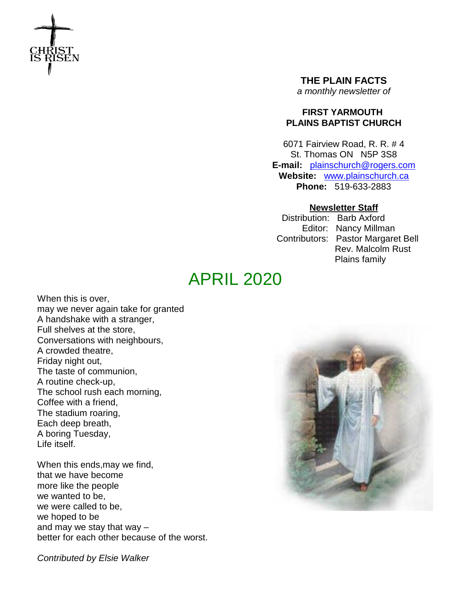

**THE PLAIN FACTS** *a monthly newsletter of*

# **FIRST YARMOUTH PLAINS BAPTIST CHURCH**

6071 Fairview Road, R. R. # 4 St. Thomas ON N5P 3S8 **E-mail:** plainschurch@rogers.com **Website:** www.plainschurch.ca **Phone:** 519-633-2883

# **Newsletter Staff**

Distribution: Barb Axford Editor: Nancy Millman Contributors: Pastor Margaret Bell Rev. Malcolm Rust Plains family

# APRIL 2020

When this is over, may we never again take for granted A handshake with a stranger, Full shelves at the store, Conversations with neighbours, A crowded theatre, Friday night out, The taste of communion, A routine check-up, The school rush each morning, Coffee with a friend, The stadium roaring, Each deep breath, A boring Tuesday, Life itself.

When this ends,may we find, that we have become more like the people we wanted to be, we were called to be, we hoped to be and may we stay that way – better for each other because of the worst.

*Contributed by Elsie Walker*

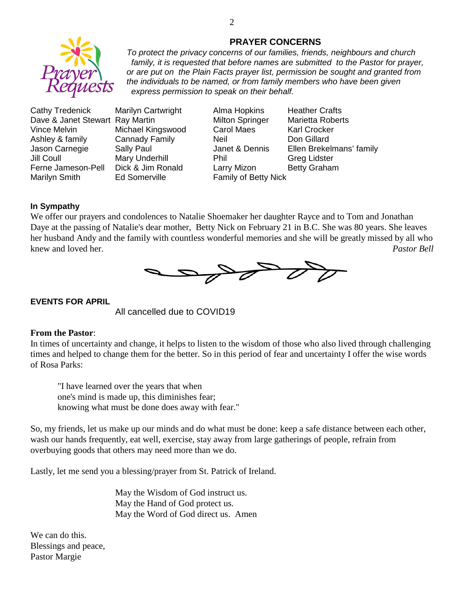

# **PRAYER CONCERNS**

*To protect the privacy concerns of our families, friends, neighbours and church family, it is requested that before names are submitted to the Pastor for prayer, or are put on the Plain Facts prayer list, permission be sought and granted from the individuals to be named, or from family members who have been given express permission to speak on their behalf.*

Cathy Tredenick Marilyn Cartwright Alma Hopkins Heather Crafts Dave & Janet Stewart Ray Martin Milton Springer Marietta Roberts Vince Melvin **Michael Kingswood** Carol Maes Karl Crocker Ashley & family Cannady Family Neil Neil Don Gillard Jill Coull Mary Underhill Phil Greg Lidster Ferne Jameson-Pell Dick & Jim Ronald Larry Mizon Betty Graham Marilyn Smith **Ed Somerville** Family of Betty Nick

Jason Carnegie Sally Paul Janet & Dennis Ellen Brekelmans' family

### **In Sympathy**

We offer our prayers and condolences to Natalie Shoemaker her daughter Rayce and to Tom and Jonathan Daye at the passing of Natalie's dear mother, Betty Nick on February 21 in B.C. She was 80 years. She leaves her husband Andy and the family with countless wonderful memories and she will be greatly missed by all who knew and loved her. *Pastor Bell*



### **EVENTS FOR APRIL**

All cancelled due to COVID19

### **From the Pastor**:

In times of uncertainty and change, it helps to listen to the wisdom of those who also lived through challenging times and helped to change them for the better. So in this period of fear and uncertainty I offer the wise words of Rosa Parks:

"I have learned over the years that when one's mind is made up, this diminishes fear; knowing what must be done does away with fear."

So, my friends, let us make up our minds and do what must be done: keep a safe distance between each other, wash our hands frequently, eat well, exercise, stay away from large gatherings of people, refrain from overbuying goods that others may need more than we do.

Lastly, let me send you a blessing/prayer from St. Patrick of Ireland.

May the Wisdom of God instruct us. May the Hand of God protect us. May the Word of God direct us. Amen

We can do this. Blessings and peace, Pastor Margie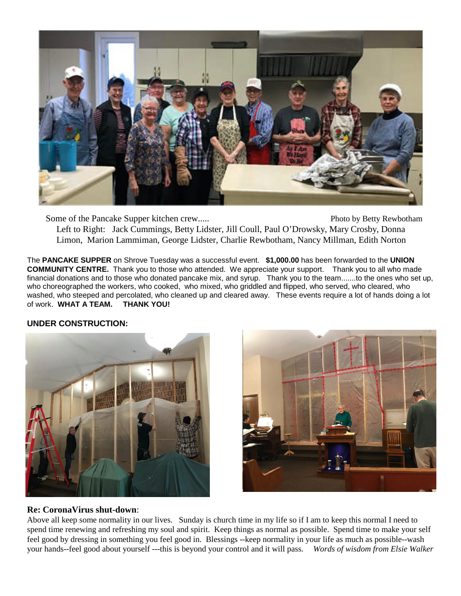

Some of the Pancake Supper kitchen crew...... Photo by Betty Rewbotham Left to Right: Jack Cummings, Betty Lidster, Jill Coull, Paul O'Drowsky, Mary Crosby, Donna Limon, Marion Lammiman, George Lidster, Charlie Rewbotham, Nancy Millman, Edith Norton

The **PANCAKE SUPPER** on Shrove Tuesday was a successful event. **\$1,000.00** has been forwarded to the **UNION COMMUNITY CENTRE.** Thank you to those who attended. We appreciate your support. Thank you to all who made financial donations and to those who donated pancake mix, and syrup. Thank you to the team.......to the ones who set up, who choreographed the workers, who cooked, who mixed, who griddled and flipped, who served, who cleared, who washed, who steeped and percolated, who cleaned up and cleared away. These events require a lot of hands doing a lot of work. **WHAT A TEAM. THANK YOU!**

# **UNDER CONSTRUCTION:**





# **Re: CoronaVirus shut-down**:

Above all keep some normality in our lives. Sunday is church time in my life so if I am to keep this normal I need to spend time renewing and refreshing my soul and spirit. Keep things as normal as possible. Spend time to make your self feel good by dressing in something you feel good in. Blessings --keep normality in your life as much as possible--wash your hands--feel good about yourself ---this is beyond your control and it will pass. *Words of wisdom from Elsie Walker*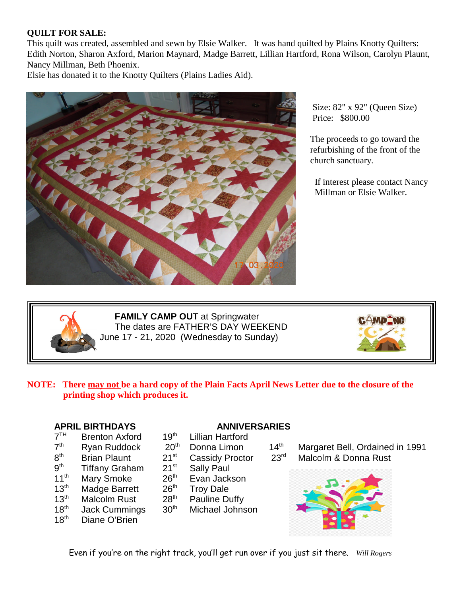# **QUILT FOR SALE:**

This quilt was created, assembled and sewn by Elsie Walker. It was hand quilted by Plains Knotty Quilters: Edith Norton, Sharon Axford, Marion Maynard, Madge Barrett, Lillian Hartford, Rona Wilson, Carolyn Plaunt, Nancy Millman, Beth Phoenix.

Elsie has donated it to the Knotty Quilters (Plains Ladies Aid).



Size: 82" x 92" (Queen Size) Price: \$800.00

The proceeds to go toward the refurbishing of the front of the church sanctuary.

If interest please contact Nancy Millman or Elsie Walker.



**FAMILY CAMP OUT** at Springwater The dates are FATHER'S DAY WEEKEND June 17 - 21, 2020 (Wednesday to Sunday)



# **NOTE: There may not be a hard copy of the Plain Facts April News Letter due to the closure of the printing shop which produces it.**

- $7<sup>TH</sup>$
- $7<sup>th</sup>$
- 8<sup>th</sup>
- $9<sup>th</sup>$ <br>11<sup>th</sup> Tiffany Graham 21<sup>st</sup> Sally Paul
- 
- 
- 
- 
- 18<sup>th</sup> Diane O'Brien

# **APRIL BIRTHDAYS ANNIVERSARIES**<br>  $7^{TH}$  Brenton Axford **19<sup>th</sup>** Lillian Hartford

- Brenton Axford 19<sup>th</sup> Lillian Hartford
	-
	-
	-
- Mary Smoke  $26<sup>th</sup>$  Evan Jackson
- $13<sup>th</sup>$  Madge Barrett  $26<sup>th</sup>$  Troy Dale
- $13<sup>th</sup>$  Malcolm Rust  $28<sup>th</sup>$  Pauline Duffy
- 18<sup>th</sup> Jack Cummings 30<sup>th</sup> Michael Johnson

Ryan Ruddock 20<sup>th</sup> Donna Limon 14<sup>th</sup> Margaret Bell, Ordained in 1991 Brian Plaunt 21<sup>st</sup> Cassidy Proctor 23<sup>rd</sup> Malcolm & Donna Rust



Even if you're on the right track, you'll get run over if you just sit there. *Will Rogers*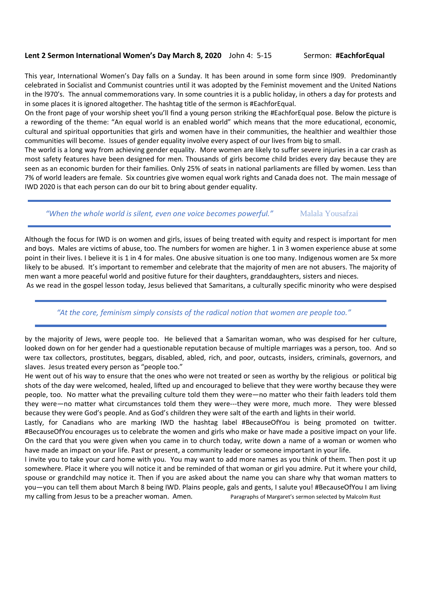## **Lent 2 Sermon International Women's Day March 8, 2020** John 4: 5-15 Sermon: #EachforEqual

This year, International Women's Day falls on a Sunday. It has been around in some form since l909. Predominantly celebrated in Socialist and Communist countries until it was adopted by the Feminist movement and the United Nations in the l970's. The annual commemorations vary. In some countries it is a public holiday, in others a day for protests and in some places it is ignored altogether. The hashtag title of the sermon is #EachforEqual.

On the front page of your worship sheet you'll find a young person striking the #EachforEqual pose. Below the picture is a rewording of the theme: "An equal world is an enabled world" which means that the more educational, economic, cultural and spiritual opportunities that girls and women have in their communities, the healthier and wealthier those communities will become. Issues of gender equality involve every aspect of our lives from big to small.

The world is a long way from achieving gender equality. More women are likely to suffer severe injuries in a car crash as most safety features have been designed for men. Thousands of girls become child brides every day because they are seen as an economic burden for their families. Only 25% of seats in national parliaments are filled by women. Less than 7% of world leaders are female. Six countries give women equal work rights and Canada does not. The main message of IWD 2020 is that each person can do our bit to bring about gender equality.

"When the whole world is silent, even one voice becomes powerful." Malala Yousafzai

Although the focus for IWD is on women and girls, issues of being treated with equity and respect is important for men and boys. Males are victims of abuse, too. The numbers for women are higher. 1 in 3 women experience abuse at some point in their lives. I believe it is 1 in 4 for males. One abusive situation is one too many. Indigenous women are 5x more likely to be abused. It's important to remember and celebrate that the majority of men are not abusers. The majority of men want a more peaceful world and positive future for their daughters, granddaughters, sisters and nieces.

As we read in the gospel lesson today, Jesus believed that Samaritans, a culturally specific minority who were despised

### *"At the core, feminism simply consists of the radical notion that women are people too."*

by the majority of Jews, were people too. He believed that a Samaritan woman, who was despised for her culture, looked down on for her gender had a questionable reputation because of multiple marriages was a person, too. And so were tax collectors, prostitutes, beggars, disabled, abled, rich, and poor, outcasts, insiders, criminals, governors, and slaves. Jesus treated every person as "people too."

He went out of his way to ensure that the ones who were not treated or seen as worthy by the religious or political big shots of the day were welcomed, healed, lifted up and encouraged to believe that they were worthy because they were people, too. No matter what the prevailing culture told them they were—no matter who their faith leaders told them they were—no matter what circumstances told them they were---they were more, much more. They were blessed because they were God's people. And as God's children they were salt of the earth and lights in their world.

Lastly, for Canadians who are marking IWD the hashtag label #BecauseOfYou is being promoted on twitter. #BecauseOfYou encourages us to celebrate the women and girls who make or have made a positive impact on your life. On the card that you were given when you came in to church today, write down a name of a woman or women who have made an impact on your life. Past or present, a community leader or someone important in your life.

I invite you to take your card home with you. You may want to add more names as you think of them. Then post it up somewhere. Place it where you will notice it and be reminded of that woman or girl you admire. Put it where your child, spouse or grandchild may notice it. Then if you are asked about the name you can share why that woman matters to you—you can tell them about March 8 being IWD. Plains people, gals and gents, I salute you! #BecauseOfYou I am living my calling from Jesus to be a preacher woman. Amen. Paragraphs of Margaret's sermon selected by Malcolm Rust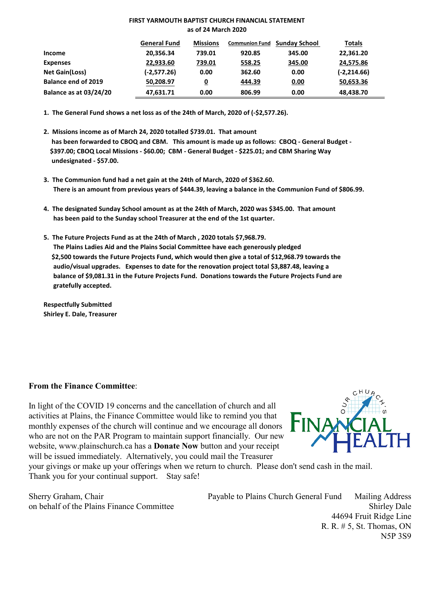#### **FIRST YARMOUTH BAPTIST CHURCH FINANCIAL STATEMENT as of 24 March 2020**

|                               | <b>General Fund</b> | <b>Missions</b> | <b>Communion Fund</b> | <b>Sunday School</b> | Totals         |
|-------------------------------|---------------------|-----------------|-----------------------|----------------------|----------------|
| Income                        | 20,356.34           | 739.01          | 920.85                | 345.00               | 22,361.20      |
| <b>Expenses</b>               | 22,933.60           | 739.01          | 558.25                | 345.00               | 24,575.86      |
| <b>Net Gain(Loss)</b>         | (-2,577.26)         | 0.00            | 362.60                | 0.00                 | $(-2, 214.66)$ |
| <b>Balance end of 2019</b>    | 50,208.97           | <u>0</u>        | 444.39                | 0.00                 | 50,653.36      |
| <b>Balance as at 03/24/20</b> | 47,631.71           | 0.00            | 806.99                | 0.00                 | 48,438.70      |

**1. The General Fund shows a net loss as of the 24th of March, 2020 of (-\$2,577.26).**

- **2. Missions income as of March 24, 2020 totalled \$739.01. That amount has been forwarded to CBOQ and CBM. This amount is made up as follows: CBOQ - General Budget - \$397.00; CBOQ Local Missions - \$60.00; CBM - General Budget - \$225.01; and CBM Sharing Way undesignated - \$57.00.**
- **3. The Communion fund had a net gain at the 24th of March, 2020 of \$362.60. There is an amount from previous years of \$444.39, leaving a balance in the Communion Fund of \$806.99.**
- **4. The designated Sunday School amount as at the 24th of March, 2020 was \$345.00. That amount has been paid to the Sunday school Treasurer at the end of the 1st quarter.**
- **5. The Future Projects Fund as at the 24th of March , 2020 totals \$7,968.79. The Plains Ladies Aid and the Plains Social Committee have each generously pledged \$2,500 towards the Future Projects Fund, which would then give a total of \$12,968.79 towards the audio/visual upgrades. Expenses to date for the renovation project total \$3,887.48, leaving a balance of \$9,081.31 in the Future Projects Fund. Donations towards the Future Projects Fund are gratefully accepted.**

**Respectfully Submitted Shirley E. Dale, Treasurer**

# **From the Finance Committee**:

In light of the COVID 19 concerns and the cancellation of church and all activities at Plains, the Finance Committee would like to remind you that monthly expenses of the church will continue and we encourage all donors who are not on the PAR Program to maintain support financially. Our new website, www.plainschurch.ca has a **Donate Now** button and your receipt will be issued immediately. Alternatively, you could mail the Treasurer



your givings or make up your offerings when we return to church. Please don't send cash in the mail. Thank you for your continual support. Stay safe!

Sherry Graham, Chair Payable to Plains Church General Fund Mailing Address on behalf of the Plains Finance Committee Shirley Dale 44694 Fruit Ridge Line R. R. # 5, St. Thomas, ON N5P 3S9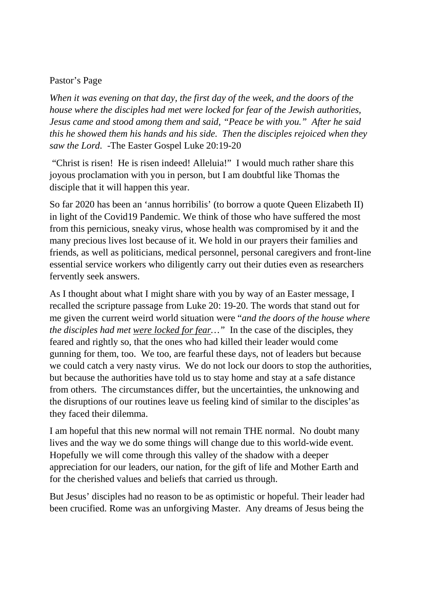# Pastor's Page

*When it was evening on that day, the first day of the week, and the doors of the house where the disciples had met were locked for fear of the Jewish authorities, Jesus came and stood among them and said, "Peace be with you." After he said this he showed them his hands and his side. Then the disciples rejoiced when they saw the Lord.* -The Easter Gospel Luke 20:19-20

"Christ is risen! He is risen indeed! Alleluia!" I would much rather share this joyous proclamation with you in person, but I am doubtful like Thomas the disciple that it will happen this year.

So far 2020 has been an 'annus horribilis' (to borrow a quote Queen Elizabeth II) in light of the Covid19 Pandemic. We think of those who have suffered the most from this pernicious, sneaky virus, whose health was compromised by it and the many precious lives lost because of it. We hold in our prayers their families and friends, as well as politicians, medical personnel, personal caregivers and front-line essential service workers who diligently carry out their duties even as researchers fervently seek answers.

As I thought about what I might share with you by way of an Easter message, I recalled the scripture passage from Luke 20: 19-20. The words that stand out for me given the current weird world situation were "*and the doors of the house where the disciples had met were locked for fear…"* In the case of the disciples, they feared and rightly so, that the ones who had killed their leader would come gunning for them, too. We too, are fearful these days, not of leaders but because we could catch a very nasty virus. We do not lock our doors to stop the authorities, but because the authorities have told us to stay home and stay at a safe distance from others. The circumstances differ, but the uncertainties, the unknowing and the disruptions of our routines leave us feeling kind of similar to the disciples'as they faced their dilemma.

I am hopeful that this new normal will not remain THE normal. No doubt many lives and the way we do some things will change due to this world-wide event. Hopefully we will come through this valley of the shadow with a deeper appreciation for our leaders, our nation, for the gift of life and Mother Earth and for the cherished values and beliefs that carried us through.

But Jesus' disciples had no reason to be as optimistic or hopeful. Their leader had been crucified. Rome was an unforgiving Master. Any dreams of Jesus being the